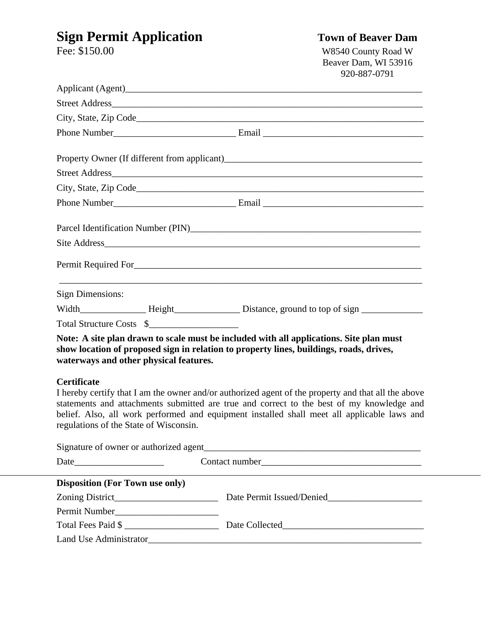# **Sign Permit Application**<br>Fee: \$150.00 **Town of Beaver Dam**<br>W8540 County Road W

W8540 County Road W Beaver Dam, WI 53916 920-887-0791

|                                                              |  | Parcel Identification Number (PIN)                                                                                                                                                                                                                                                              |
|--------------------------------------------------------------|--|-------------------------------------------------------------------------------------------------------------------------------------------------------------------------------------------------------------------------------------------------------------------------------------------------|
|                                                              |  |                                                                                                                                                                                                                                                                                                 |
|                                                              |  |                                                                                                                                                                                                                                                                                                 |
| <b>Sign Dimensions:</b>                                      |  | and the control of the control of the control of the control of the control of the control of the control of the                                                                                                                                                                                |
|                                                              |  |                                                                                                                                                                                                                                                                                                 |
| Total Structure Costs \$                                     |  |                                                                                                                                                                                                                                                                                                 |
| waterways and other physical features.                       |  | Note: A site plan drawn to scale must be included with all applications. Site plan must<br>show location of proposed sign in relation to property lines, buildings, roads, drives,                                                                                                              |
| <b>Certificate</b><br>regulations of the State of Wisconsin. |  | I hereby certify that I am the owner and/or authorized agent of the property and that all the above<br>statements and attachments submitted are true and correct to the best of my knowledge and<br>belief. Also, all work performed and equipment installed shall meet all applicable laws and |
|                                                              |  |                                                                                                                                                                                                                                                                                                 |
|                                                              |  |                                                                                                                                                                                                                                                                                                 |
| <b>Disposition (For Town use only)</b>                       |  |                                                                                                                                                                                                                                                                                                 |
|                                                              |  |                                                                                                                                                                                                                                                                                                 |
|                                                              |  |                                                                                                                                                                                                                                                                                                 |
|                                                              |  | Total Fees Paid \$                                                                                                                                                                                                                                                                              |
|                                                              |  |                                                                                                                                                                                                                                                                                                 |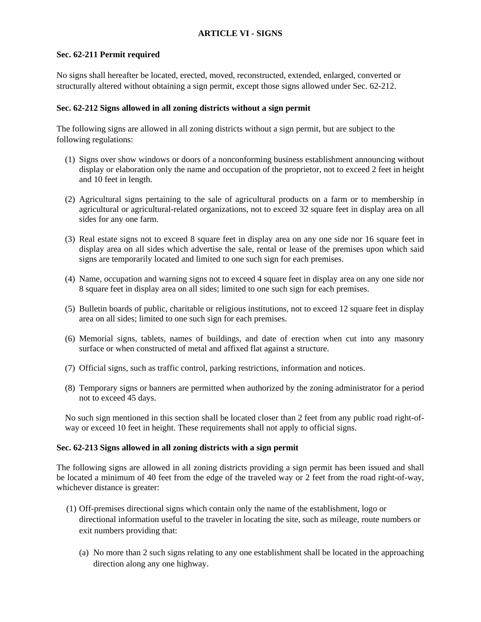# **ARTICLE VI - SIGNS**

## **Sec. 62-211 Permit required**

No signs shall hereafter be located, erected, moved, reconstructed, extended, enlarged, converted or structurally altered without obtaining a sign permit, except those signs allowed under Sec. 62-212.

# **Sec. 62-212 Signs allowed in all zoning districts without a sign permit**

The following signs are allowed in all zoning districts without a sign permit, but are subject to the following regulations:

- (1) Signs over show windows or doors of a nonconforming business establishment announcing without display or elaboration only the name and occupation of the proprietor, not to exceed 2 feet in height and 10 feet in length.
- (2) Agricultural signs pertaining to the sale of agricultural products on a farm or to membership in agricultural or agricultural-related organizations, not to exceed 32 square feet in display area on all sides for any one farm.
- (3) Real estate signs not to exceed 8 square feet in display area on any one side nor 16 square feet in display area on all sides which advertise the sale, rental or lease of the premises upon which said signs are temporarily located and limited to one such sign for each premises.
- (4) Name, occupation and warning signs not to exceed 4 square feet in display area on any one side nor 8 square feet in display area on all sides; limited to one such sign for each premises.
- (5) Bulletin boards of public, charitable or religious institutions, not to exceed 12 square feet in display area on all sides; limited to one such sign for each premises.
- (6) Memorial signs, tablets, names of buildings, and date of erection when cut into any masonry surface or when constructed of metal and affixed flat against a structure.
- (7) Official signs, such as traffic control, parking restrictions, information and notices.
- (8) Temporary signs or banners are permitted when authorized by the zoning administrator for a period not to exceed 45 days.

No such sign mentioned in this section shall be located closer than 2 feet from any public road right-ofway or exceed 10 feet in height. These requirements shall not apply to official signs.

## **Sec. 62-213 Signs allowed in all zoning districts with a sign permit**

The following signs are allowed in all zoning districts providing a sign permit has been issued and shall be located a minimum of 40 feet from the edge of the traveled way or 2 feet from the road right-of-way, whichever distance is greater:

- (1) Off-premises directional signs which contain only the name of the establishment, logo or directional information useful to the traveler in locating the site, such as mileage, route numbers or exit numbers providing that:
	- (a) No more than 2 such signs relating to any one establishment shall be located in the approaching direction along any one highway.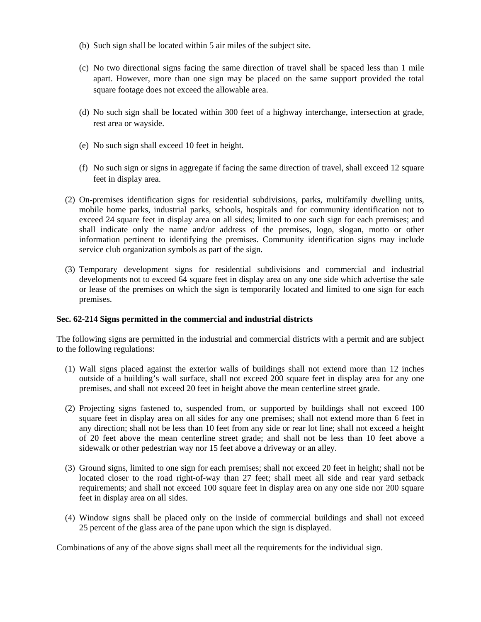- (b) Such sign shall be located within 5 air miles of the subject site.
- (c) No two directional signs facing the same direction of travel shall be spaced less than 1 mile apart. However, more than one sign may be placed on the same support provided the total square footage does not exceed the allowable area.
- (d) No such sign shall be located within 300 feet of a highway interchange, intersection at grade, rest area or wayside.
- (e) No such sign shall exceed 10 feet in height.
- (f) No such sign or signs in aggregate if facing the same direction of travel, shall exceed 12 square feet in display area.
- (2) On-premises identification signs for residential subdivisions, parks, multifamily dwelling units, mobile home parks, industrial parks, schools, hospitals and for community identification not to exceed 24 square feet in display area on all sides; limited to one such sign for each premises; and shall indicate only the name and/or address of the premises, logo, slogan, motto or other information pertinent to identifying the premises. Community identification signs may include service club organization symbols as part of the sign.
- (3) Temporary development signs for residential subdivisions and commercial and industrial developments not to exceed 64 square feet in display area on any one side which advertise the sale or lease of the premises on which the sign is temporarily located and limited to one sign for each premises.

#### **Sec. 62-214 Signs permitted in the commercial and industrial districts**

The following signs are permitted in the industrial and commercial districts with a permit and are subject to the following regulations:

- (1) Wall signs placed against the exterior walls of buildings shall not extend more than 12 inches outside of a building's wall surface, shall not exceed 200 square feet in display area for any one premises, and shall not exceed 20 feet in height above the mean centerline street grade.
- (2) Projecting signs fastened to, suspended from, or supported by buildings shall not exceed 100 square feet in display area on all sides for any one premises; shall not extend more than 6 feet in any direction; shall not be less than 10 feet from any side or rear lot line; shall not exceed a height of 20 feet above the mean centerline street grade; and shall not be less than 10 feet above a sidewalk or other pedestrian way nor 15 feet above a driveway or an alley.
- (3) Ground signs, limited to one sign for each premises; shall not exceed 20 feet in height; shall not be located closer to the road right-of-way than 27 feet; shall meet all side and rear yard setback requirements; and shall not exceed 100 square feet in display area on any one side nor 200 square feet in display area on all sides.
- (4) Window signs shall be placed only on the inside of commercial buildings and shall not exceed 25 percent of the glass area of the pane upon which the sign is displayed.

Combinations of any of the above signs shall meet all the requirements for the individual sign.